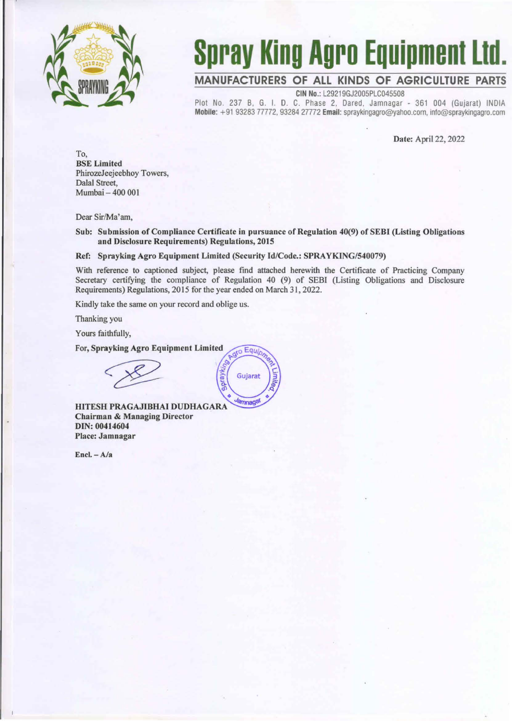

## **Spray King Agro Equipment Ltd.**

## **MANUFACTURERS OF ALL KINDS OF AGRICULTURE PARTS**

CIN No.: L29219GJ2005PLC045508

Piot No. 237 B, G. I. D. C. Phase 2, Dared, Jamnagar - 361 004 (Gujarat) INDIA Mobile: +91 93283 77772, 93284 27772 Email: spraykingagro@yahoo.com. info@spraykingagro.com

Date: April 22, 2022

To, BSE Limited PhirozeJeejeebhoy Towers, Dalal Street, Mumbai - 400 001

Dear Sir/Ma'am,

Sub: Submission of Compliance Certificate in pursuance of Regulation 40(9) of SEBf (Listing Obligations and Disclosure Requirements) Regulations, 2015

## Ref: Sprayking Agro Equipment Limited (Security Id/Code.: SPRAYKING/540079)

<sub>10</sub> Equip

Gujarat

**amnaga** 

λg

With reference to captioned subject, please find attached herewith the Certificate of Practicing Company Secretary certifying the compliance of Regulation 40 (9) of SEBI (Listing Obligations and Disclosure Requirements) Regulations, 2015 for the year ended on March 31, 2022.

Kindly take the same on your record and oblige us.

Thanking you

Yours faithfully,

For, Sprayking Agro Equipment Limited

HITESH PRAGAJIBHAI DUDHAGARA Chairman & Managing Director DIN: 00414604 Place: Jamnagar

 $Encl. - A/a$